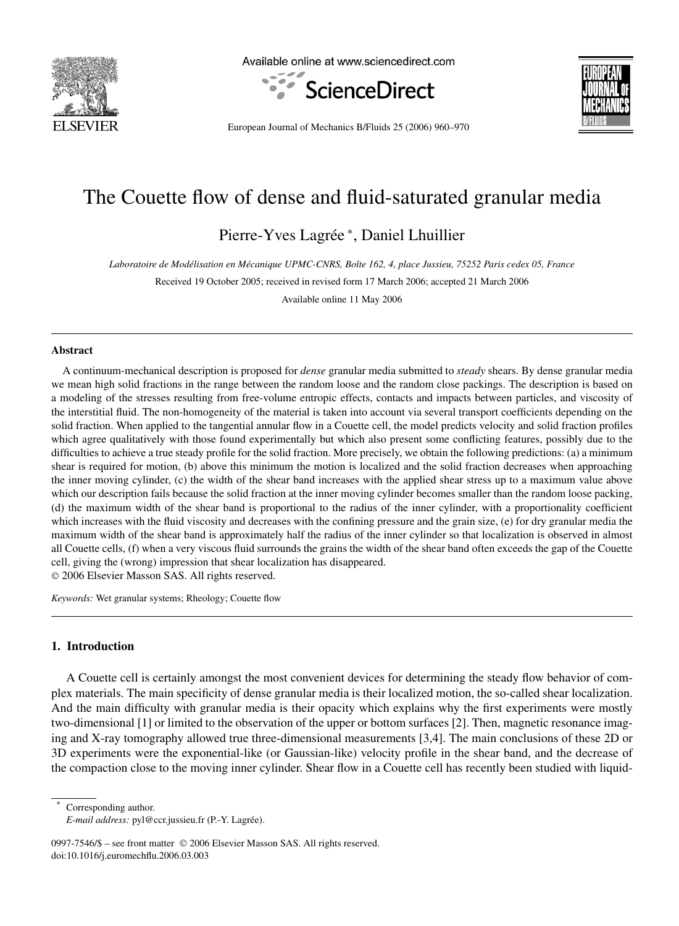

Available online at www.sciencedirect.com





European Journal of Mechanics B/Fluids 25 (2006) 960–970

# The Couette flow of dense and fluid-saturated granular media

Pierre-Yves Lagrée <sup>∗</sup> , Daniel Lhuillier

*Laboratoire de Modélisation en Mécanique UPMC-CNRS, Boîte 162, 4, place Jussieu, 75252 Paris cedex 05, France*

Received 19 October 2005; received in revised form 17 March 2006; accepted 21 March 2006

Available online 11 May 2006

#### **Abstract**

A continuum-mechanical description is proposed for *dense* granular media submitted to *steady* shears. By dense granular media we mean high solid fractions in the range between the random loose and the random close packings. The description is based on a modeling of the stresses resulting from free-volume entropic effects, contacts and impacts between particles, and viscosity of the interstitial fluid. The non-homogeneity of the material is taken into account via several transport coefficients depending on the solid fraction. When applied to the tangential annular flow in a Couette cell, the model predicts velocity and solid fraction profiles which agree qualitatively with those found experimentally but which also present some conflicting features, possibly due to the difficulties to achieve a true steady profile for the solid fraction. More precisely, we obtain the following predictions: (a) a minimum shear is required for motion, (b) above this minimum the motion is localized and the solid fraction decreases when approaching the inner moving cylinder, (c) the width of the shear band increases with the applied shear stress up to a maximum value above which our description fails because the solid fraction at the inner moving cylinder becomes smaller than the random loose packing, (d) the maximum width of the shear band is proportional to the radius of the inner cylinder, with a proportionality coefficient which increases with the fluid viscosity and decreases with the confining pressure and the grain size, (e) for dry granular media the maximum width of the shear band is approximately half the radius of the inner cylinder so that localization is observed in almost all Couette cells, (f) when a very viscous fluid surrounds the grains the width of the shear band often exceeds the gap of the Couette cell, giving the (wrong) impression that shear localization has disappeared.

© 2006 Elsevier Masson SAS. All rights reserved.

*Keywords:* Wet granular systems; Rheology; Couette flow

# **1. Introduction**

A Couette cell is certainly amongst the most convenient devices for determining the steady flow behavior of complex materials. The main specificity of dense granular media is their localized motion, the so-called shear localization. And the main difficulty with granular media is their opacity which explains why the first experiments were mostly two-dimensional [1] or limited to the observation of the upper or bottom surfaces [2]. Then, magnetic resonance imaging and X-ray tomography allowed true three-dimensional measurements [3,4]. The main conclusions of these 2D or 3D experiments were the exponential-like (or Gaussian-like) velocity profile in the shear band, and the decrease of the compaction close to the moving inner cylinder. Shear flow in a Couette cell has recently been studied with liquid-

Corresponding author.

0997-7546/\$ – see front matter © 2006 Elsevier Masson SAS. All rights reserved. doi:10.1016/j.euromechflu.2006.03.003

*E-mail address:* pyl@ccr.jussieu.fr (P.-Y. Lagrée).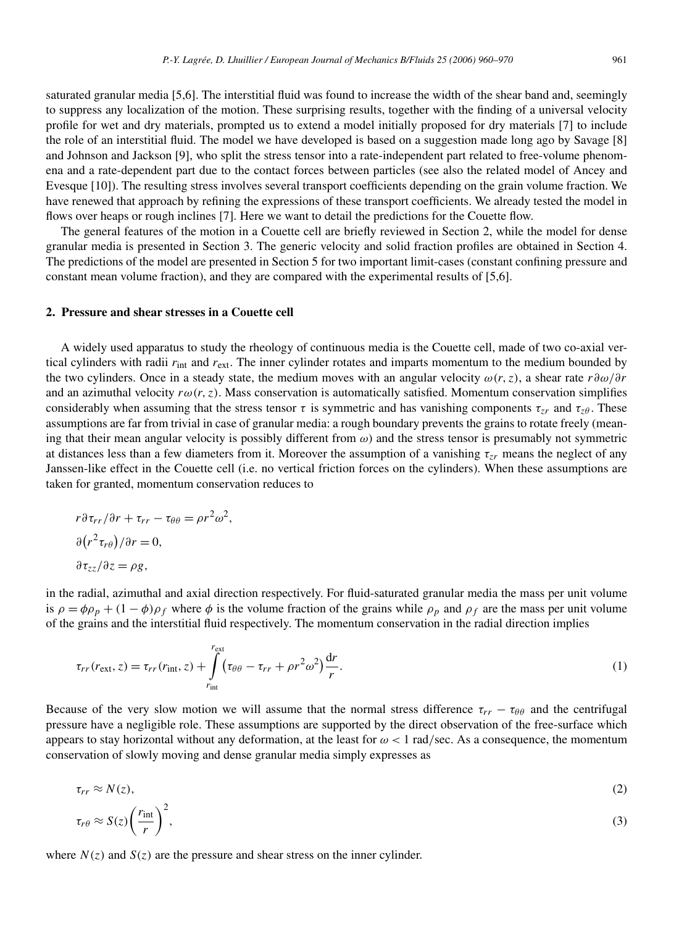saturated granular media [5,6]. The interstitial fluid was found to increase the width of the shear band and, seemingly to suppress any localization of the motion. These surprising results, together with the finding of a universal velocity profile for wet and dry materials, prompted us to extend a model initially proposed for dry materials [7] to include the role of an interstitial fluid. The model we have developed is based on a suggestion made long ago by Savage [8] and Johnson and Jackson [9], who split the stress tensor into a rate-independent part related to free-volume phenomena and a rate-dependent part due to the contact forces between particles (see also the related model of Ancey and Evesque [10]). The resulting stress involves several transport coefficients depending on the grain volume fraction. We have renewed that approach by refining the expressions of these transport coefficients. We already tested the model in flows over heaps or rough inclines [7]. Here we want to detail the predictions for the Couette flow.

The general features of the motion in a Couette cell are briefly reviewed in Section 2, while the model for dense granular media is presented in Section 3. The generic velocity and solid fraction profiles are obtained in Section 4. The predictions of the model are presented in Section 5 for two important limit-cases (constant confining pressure and constant mean volume fraction), and they are compared with the experimental results of [5,6].

# **2. Pressure and shear stresses in a Couette cell**

A widely used apparatus to study the rheology of continuous media is the Couette cell, made of two co-axial vertical cylinders with radii *r*int and *r*ext. The inner cylinder rotates and imparts momentum to the medium bounded by the two cylinders. Once in a steady state, the medium moves with an angular velocity *ω(r,z)*, a shear rate *r∂ω/∂r* and an azimuthal velocity  $r\omega(r, z)$ . Mass conservation is automatically satisfied. Momentum conservation simplifies considerably when assuming that the stress tensor  $\tau$  is symmetric and has vanishing components  $\tau_{zr}$  and  $\tau_{z\theta}$ . These assumptions are far from trivial in case of granular media: a rough boundary prevents the grains to rotate freely (meaning that their mean angular velocity is possibly different from *ω*) and the stress tensor is presumably not symmetric at distances less than a few diameters from it. Moreover the assumption of a vanishing *τzr* means the neglect of any Janssen-like effect in the Couette cell (i.e. no vertical friction forces on the cylinders). When these assumptions are taken for granted, momentum conservation reduces to

$$
r\partial \tau_{rr}/\partial r + \tau_{rr} - \tau_{\theta\theta} = \rho r^2 \omega^2,
$$
  
\n
$$
\frac{\partial (r^2 \tau_{r\theta})}{\partial r} = 0,
$$
  
\n
$$
\frac{\partial \tau_{zz}}{\partial z} = \rho g,
$$

in the radial, azimuthal and axial direction respectively. For fluid-saturated granular media the mass per unit volume is  $\rho = \phi \rho_p + (1 - \phi) \rho_f$  where  $\phi$  is the volume fraction of the grains while  $\rho_p$  and  $\rho_f$  are the mass per unit volume of the grains and the interstitial fluid respectively. The momentum conservation in the radial direction implies

$$
\tau_{rr}(r_{\rm ext}, z) = \tau_{rr}(r_{\rm int}, z) + \int_{r_{\rm int}}^{r_{\rm ext}} (\tau_{\theta\theta} - \tau_{rr} + \rho r^2 \omega^2) \frac{dr}{r}.
$$
\n(1)

Because of the very slow motion we will assume that the normal stress difference  $\tau_{rr} - \tau_{\theta\theta}$  and the centrifugal pressure have a negligible role. These assumptions are supported by the direct observation of the free-surface which appears to stay horizontal without any deformation, at the least for *ω <* 1 rad*/*sec. As a consequence, the momentum conservation of slowly moving and dense granular media simply expresses as

$$
\tau_{rr} \approx N(z),\tag{2}
$$

$$
\tau_{r\theta} \approx S(z) \left(\frac{r_{\rm int}}{r}\right)^2,\tag{3}
$$

where  $N(z)$  and  $S(z)$  are the pressure and shear stress on the inner cylinder.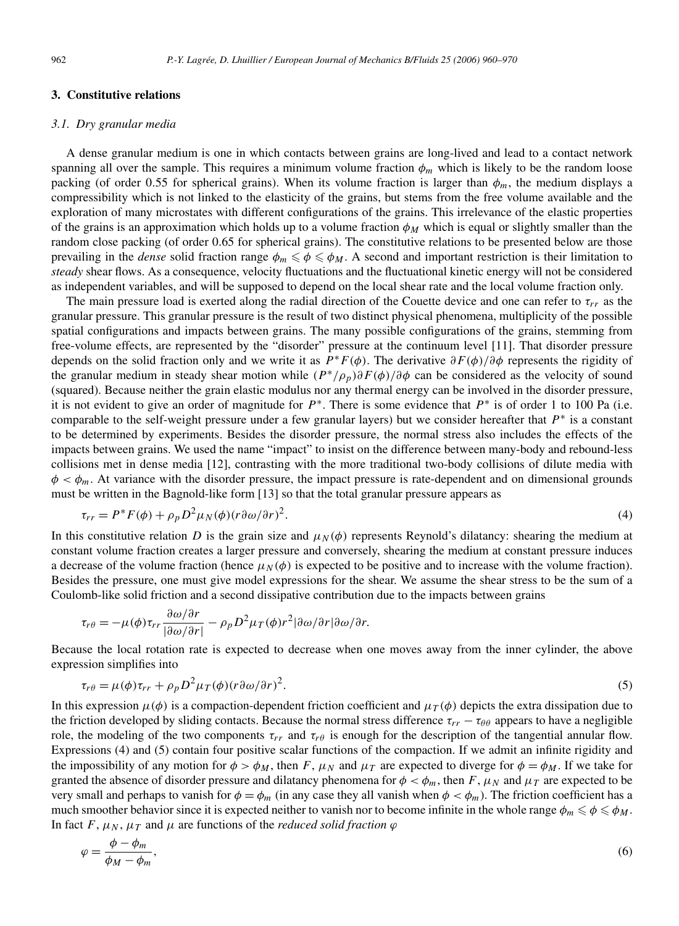# **3. Constitutive relations**

#### *3.1. Dry granular media*

A dense granular medium is one in which contacts between grains are long-lived and lead to a contact network spanning all over the sample. This requires a minimum volume fraction  $\phi_m$  which is likely to be the random loose packing (of order 0.55 for spherical grains). When its volume fraction is larger than  $\phi_m$ , the medium displays a compressibility which is not linked to the elasticity of the grains, but stems from the free volume available and the exploration of many microstates with different configurations of the grains. This irrelevance of the elastic properties of the grains is an approximation which holds up to a volume fraction  $\phi_M$  which is equal or slightly smaller than the random close packing (of order 0.65 for spherical grains). The constitutive relations to be presented below are those prevailing in the *dense* solid fraction range  $\phi_m \le \phi \le \phi_M$ . A second and important restriction is their limitation to *steady* shear flows. As a consequence, velocity fluctuations and the fluctuational kinetic energy will not be considered as independent variables, and will be supposed to depend on the local shear rate and the local volume fraction only.

The main pressure load is exerted along the radial direction of the Couette device and one can refer to  $\tau_{rr}$  as the granular pressure. This granular pressure is the result of two distinct physical phenomena, multiplicity of the possible spatial configurations and impacts between grains. The many possible configurations of the grains, stemming from free-volume effects, are represented by the "disorder" pressure at the continuum level [11]. That disorder pressure depends on the solid fraction only and we write it as *P*∗*F(φ)*. The derivative *∂F(φ)/∂φ* represents the rigidity of the granular medium in steady shear motion while *(P*∗*/ρp)∂F(φ)/∂φ* can be considered as the velocity of sound (squared). Because neither the grain elastic modulus nor any thermal energy can be involved in the disorder pressure, it is not evident to give an order of magnitude for *P*∗. There is some evidence that *P*∗ is of order 1 to 100 Pa (i.e. comparable to the self-weight pressure under a few granular layers) but we consider hereafter that *P*∗ is a constant to be determined by experiments. Besides the disorder pressure, the normal stress also includes the effects of the impacts between grains. We used the name "impact" to insist on the difference between many-body and rebound-less collisions met in dense media [12], contrasting with the more traditional two-body collisions of dilute media with  $\phi < \phi_m$ . At variance with the disorder pressure, the impact pressure is rate-dependent and on dimensional grounds must be written in the Bagnold-like form [13] so that the total granular pressure appears as

$$
\tau_{rr} = P^* F(\phi) + \rho_p D^2 \mu_N(\phi) (r \partial \omega / \partial r)^2.
$$
\n(4)

In this constitutive relation *D* is the grain size and  $\mu_N(\phi)$  represents Reynold's dilatancy: shearing the medium at constant volume fraction creates a larger pressure and conversely, shearing the medium at constant pressure induces a decrease of the volume fraction (hence  $\mu_N(\phi)$  is expected to be positive and to increase with the volume fraction). Besides the pressure, one must give model expressions for the shear. We assume the shear stress to be the sum of a Coulomb-like solid friction and a second dissipative contribution due to the impacts between grains

$$
\tau_{r\theta} = -\mu(\phi)\tau_{rr}\frac{\partial\omega/\partial r}{|\partial\omega/\partial r|} - \rho_p D^2 \mu_T(\phi) r^2 |\partial\omega/\partial r| \partial\omega/\partial r.
$$

Because the local rotation rate is expected to decrease when one moves away from the inner cylinder, the above expression simplifies into

$$
\tau_{r\theta} = \mu(\phi)\tau_{rr} + \rho_p D^2 \mu_T(\phi)(r\partial\omega/\partial r)^2.
$$
\n(5)

In this expression  $\mu(\phi)$  is a compaction-dependent friction coefficient and  $\mu_T(\phi)$  depicts the extra dissipation due to the friction developed by sliding contacts. Because the normal stress difference  $\tau_{rr} - \tau_{\theta\theta}$  appears to have a negligible role, the modeling of the two components  $\tau_{rr}$  and  $\tau_{r\theta}$  is enough for the description of the tangential annular flow. Expressions (4) and (5) contain four positive scalar functions of the compaction. If we admit an infinite rigidity and the impossibility of any motion for  $\phi > \phi_M$ , then *F*,  $\mu_N$  and  $\mu_T$  are expected to diverge for  $\phi = \phi_M$ . If we take for granted the absence of disorder pressure and dilatancy phenomena for  $\phi < \phi_m$ , then *F*,  $\mu_N$  and  $\mu_T$  are expected to be very small and perhaps to vanish for  $\phi = \phi_m$  (in any case they all vanish when  $\phi < \phi_m$ ). The friction coefficient has a much smoother behavior since it is expected neither to vanish nor to become infinite in the whole range  $\phi_m \leq \phi \leq \phi_M$ . In fact *F*,  $\mu_N$ ,  $\mu_T$  and  $\mu$  are functions of the *reduced solid fraction*  $\varphi$ 

$$
\varphi = \frac{\phi - \phi_m}{\phi_M - \phi_m},\tag{6}
$$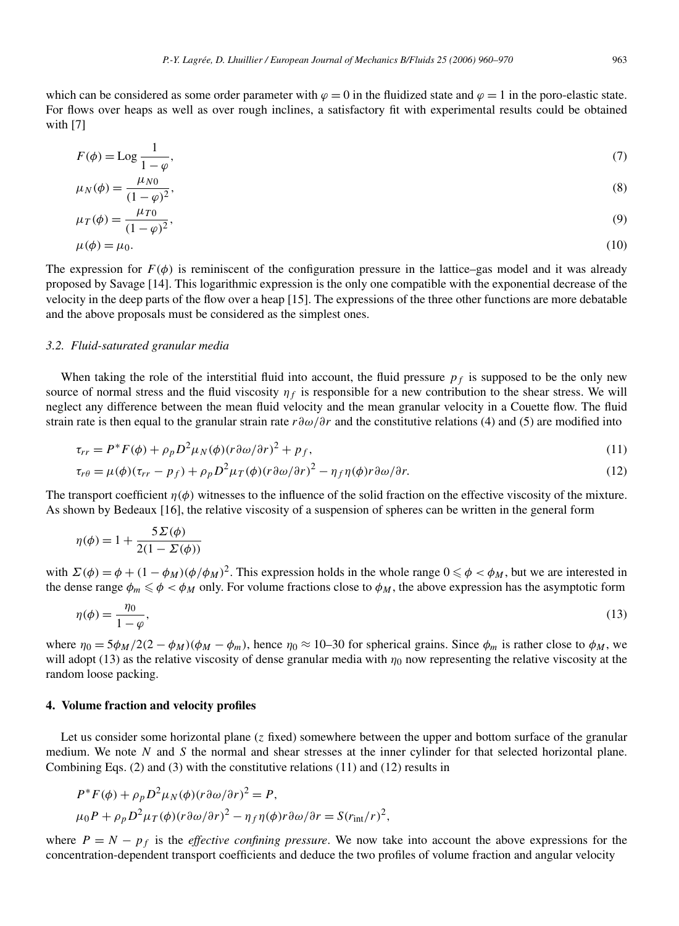$$
F(\phi) = \text{Log} \frac{1}{1 - \varphi},\tag{7}
$$

$$
\mu_N(\phi) = \frac{\mu_{N0}}{(1 - \varphi)^2},\tag{8}
$$

$$
\mu_T(\phi) = \frac{\mu_{T0}}{(1-\varphi)^2},\tag{9}
$$

$$
\mu(\phi) = \mu_0. \tag{10}
$$

The expression for  $F(\phi)$  is reminiscent of the configuration pressure in the lattice–gas model and it was already proposed by Savage [14]. This logarithmic expression is the only one compatible with the exponential decrease of the velocity in the deep parts of the flow over a heap [15]. The expressions of the three other functions are more debatable and the above proposals must be considered as the simplest ones.

## *3.2. Fluid-saturated granular media*

When taking the role of the interstitial fluid into account, the fluid pressure  $p_f$  is supposed to be the only new source of normal stress and the fluid viscosity  $\eta_f$  is responsible for a new contribution to the shear stress. We will neglect any difference between the mean fluid velocity and the mean granular velocity in a Couette flow. The fluid strain rate is then equal to the granular strain rate *r∂ω/∂r* and the constitutive relations (4) and (5) are modified into

$$
\tau_{rr} = P^* F(\phi) + \rho_p D^2 \mu_N(\phi) (r \partial \omega / \partial r)^2 + p_f,
$$
\n(11)

$$
\tau_{r\theta} = \mu(\phi)(\tau_{rr} - p_f) + \rho_p D^2 \mu_T(\phi)(r \partial \omega/\partial r)^2 - \eta_f \eta(\phi)r \partial \omega/\partial r.
$$
\n(12)

The transport coefficient  $\eta(\phi)$  witnesses to the influence of the solid fraction on the effective viscosity of the mixture. As shown by Bedeaux [16], the relative viscosity of a suspension of spheres can be written in the general form

$$
\eta(\phi) = 1 + \frac{5\Sigma(\phi)}{2(1 - \Sigma(\phi))}
$$

with  $\Sigma(\phi) = \phi + (1 - \phi_M)(\phi/\phi_M)^2$ . This expression holds in the whole range  $0 \le \phi < \phi_M$ , but we are interested in the dense range  $\phi_m \le \phi \le \phi_M$  only. For volume fractions close to  $\phi_M$ , the above expression has the asymptotic form

$$
\eta(\phi) = \frac{\eta_0}{1 - \varphi},\tag{13}
$$

where  $\eta_0 = 5\phi_M/2(2 - \phi_M)(\phi_M - \phi_m)$ , hence  $\eta_0 \approx 10-30$  for spherical grains. Since  $\phi_m$  is rather close to  $\phi_M$ , we will adopt (13) as the relative viscosity of dense granular media with  $\eta_0$  now representing the relative viscosity at the random loose packing.

# **4. Volume fraction and velocity profiles**

Let us consider some horizontal plane (*z* fixed) somewhere between the upper and bottom surface of the granular medium. We note *N* and *S* the normal and shear stresses at the inner cylinder for that selected horizontal plane. Combining Eqs. (2) and (3) with the constitutive relations (11) and (12) results in

$$
P^*F(\phi) + \rho_p D^2 \mu_N(\phi)(r \partial \omega/\partial r)^2 = P,
$$
  
\n
$$
\mu_0 P + \rho_p D^2 \mu_T(\phi)(r \partial \omega/\partial r)^2 - \eta_f \eta(\phi)r \partial \omega/\partial r = S(r_{int}/r)^2,
$$

where  $P = N - p_f$  is the *effective confining pressure*. We now take into account the above expressions for the concentration-dependent transport coefficients and deduce the two profiles of volume fraction and angular velocity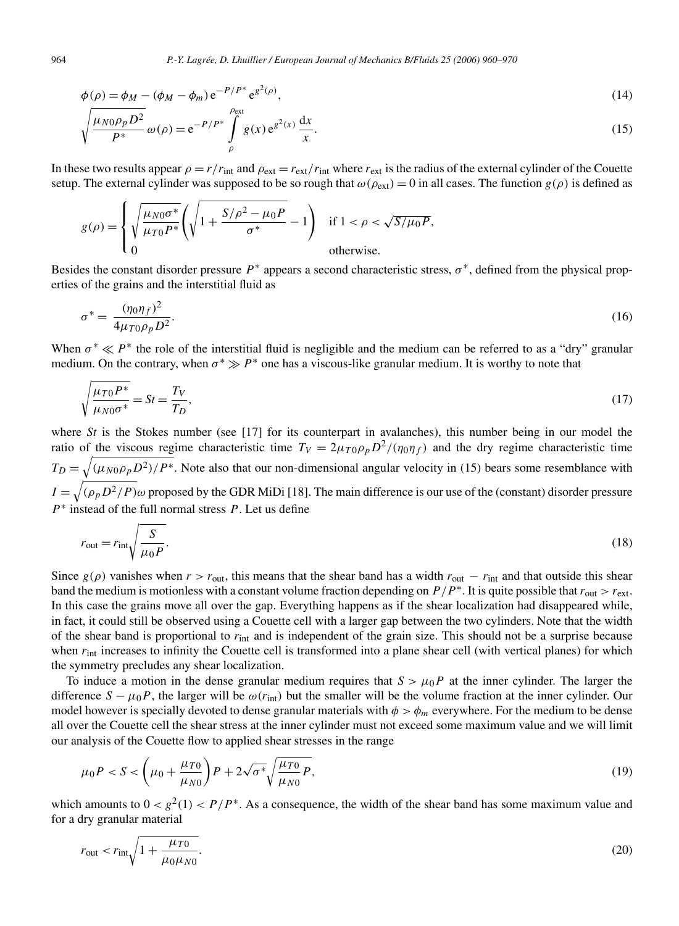$$
\phi(\rho) = \phi_M - (\phi_M - \phi_m) e^{-P/P^*} e^{g^2(\rho)},
$$
\n(14)

$$
\sqrt{\frac{\mu_{N0}\rho_p D^2}{P^*}}\,\omega(\rho) = e^{-P/P^*}\int\limits_{\rho}^{\rho_{\text{ext}}} g(x) e^{g^2(x)}\,\frac{\mathrm{d}x}{x}.\tag{15}
$$

In these two results appear  $\rho = r/r_{\text{int}}$  and  $\rho_{\text{ext}} = r_{\text{ext}}/r_{\text{int}}$  where  $r_{\text{ext}}$  is the radius of the external cylinder of the Couette setup. The external cylinder was supposed to be so rough that  $\omega(\rho_{ext}) = 0$  in all cases. The function  $g(\rho)$  is defined as

$$
g(\rho) = \begin{cases} \sqrt{\frac{\mu_{N0}\sigma^*}{\mu_{T0}P^*}} \left( \sqrt{1 + \frac{S/\rho^2 - \mu_0 P}{\sigma^*}} - 1 \right) & \text{if } 1 < \rho < \sqrt{S/\mu_0 P}, \\ 0 & \text{otherwise.} \end{cases}
$$

Besides the constant disorder pressure  $P^*$  appears a second characteristic stress,  $\sigma^*$ , defined from the physical properties of the grains and the interstitial fluid as

$$
\sigma^* = \frac{(\eta_0 \eta_f)^2}{4\mu_{T0}\rho_p D^2}.\tag{16}
$$

When  $\sigma^* \ll P^*$  the role of the interstitial fluid is negligible and the medium can be referred to as a "dry" granular medium. On the contrary, when  $\sigma^* \gg P^*$  one has a viscous-like granular medium. It is worthy to note that

$$
\sqrt{\frac{\mu_{T0}P^*}{\mu_{N0}\sigma^*}} = St = \frac{T_V}{T_D},\tag{17}
$$

where  $St$  is the Stokes number (see [17] for its counterpart in avalanches), this number being in our model the ratio of the viscous regime characteristic time  $T_V = 2\mu_{T0}\rho_p D^2/(\eta_0\eta_f)$  and the dry regime characteristic time  $T_D = \sqrt{(\mu_{N0}\rho_p D^2)/P^*}$ . Note also that our non-dimensional angular velocity in (15) bears some resemblance with  $I = \sqrt{(\rho_p D^2/P)}\omega$  proposed by the GDR MiDi [18]. The main difference is our use of the (constant) disorder pressure *P*∗ instead of the full normal stress *P* . Let us define

$$
r_{\text{out}} = r_{\text{int}} \sqrt{\frac{S}{\mu_0 P}}.\tag{18}
$$

Since  $g(\rho)$  vanishes when  $r > r_{\text{out}}$ , this means that the shear band has a width  $r_{\text{out}} - r_{\text{int}}$  and that outside this shear band the medium is motionless with a constant volume fraction depending on  $P/P^*$ . It is quite possible that  $r_{\text{out}} > r_{\text{ext}}$ . In this case the grains move all over the gap. Everything happens as if the shear localization had disappeared while, in fact, it could still be observed using a Couette cell with a larger gap between the two cylinders. Note that the width of the shear band is proportional to  $r_{int}$  and is independent of the grain size. This should not be a surprise because when  $r_{\text{int}}$  increases to infinity the Couette cell is transformed into a plane shear cell (with vertical planes) for which the symmetry precludes any shear localization.

To induce a motion in the dense granular medium requires that  $S > \mu_0 P$  at the inner cylinder. The larger the difference  $S - \mu_0 P$ , the larger will be  $\omega(r_{\text{int}})$  but the smaller will be the volume fraction at the inner cylinder. Our model however is specially devoted to dense granular materials with  $\phi > \phi_m$  everywhere. For the medium to be dense all over the Couette cell the shear stress at the inner cylinder must not exceed some maximum value and we will limit our analysis of the Couette flow to applied shear stresses in the range

$$
\mu_0 P < S < \left(\mu_0 + \frac{\mu_{T0}}{\mu_{N0}}\right) P + 2\sqrt{\sigma^*} \sqrt{\frac{\mu_{T0}}{\mu_{N0}} P},\tag{19}
$$

which amounts to  $0 < g^2(1) < P/P^*$ . As a consequence, the width of the shear band has some maximum value and for a dry granular material

$$
r_{\rm out} < r_{\rm int} \sqrt{1 + \frac{\mu_{T0}}{\mu_0 \mu_{N0}}}.\tag{20}
$$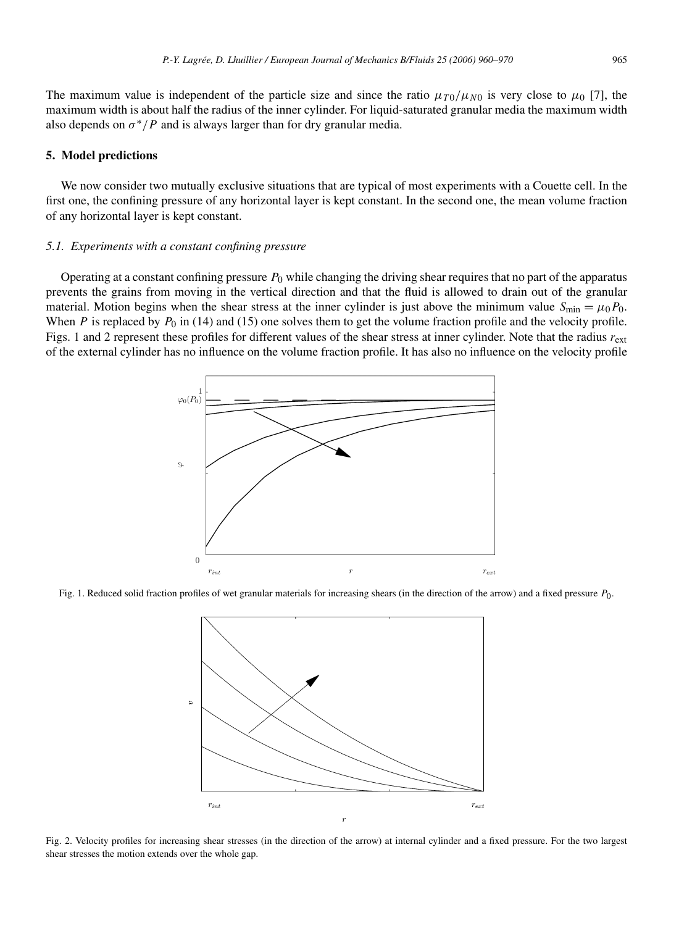## **5. Model predictions**

We now consider two mutually exclusive situations that are typical of most experiments with a Couette cell. In the first one, the confining pressure of any horizontal layer is kept constant. In the second one, the mean volume fraction of any horizontal layer is kept constant.

## *5.1. Experiments with a constant confining pressure*

Operating at a constant confining pressure *P*<sup>0</sup> while changing the driving shear requires that no part of the apparatus prevents the grains from moving in the vertical direction and that the fluid is allowed to drain out of the granular material. Motion begins when the shear stress at the inner cylinder is just above the minimum value  $S_{\text{min}} = \mu_0 P_0$ . When *P* is replaced by  $P_0$  in (14) and (15) one solves them to get the volume fraction profile and the velocity profile. Figs. 1 and 2 represent these profiles for different values of the shear stress at inner cylinder. Note that the radius *r*ext of the external cylinder has no influence on the volume fraction profile. It has also no influence on the velocity profile



Fig. 1. Reduced solid fraction profiles of wet granular materials for increasing shears (in the direction of the arrow) and a fixed pressure *P*0.



Fig. 2. Velocity profiles for increasing shear stresses (in the direction of the arrow) at internal cylinder and a fixed pressure. For the two largest shear stresses the motion extends over the whole gap.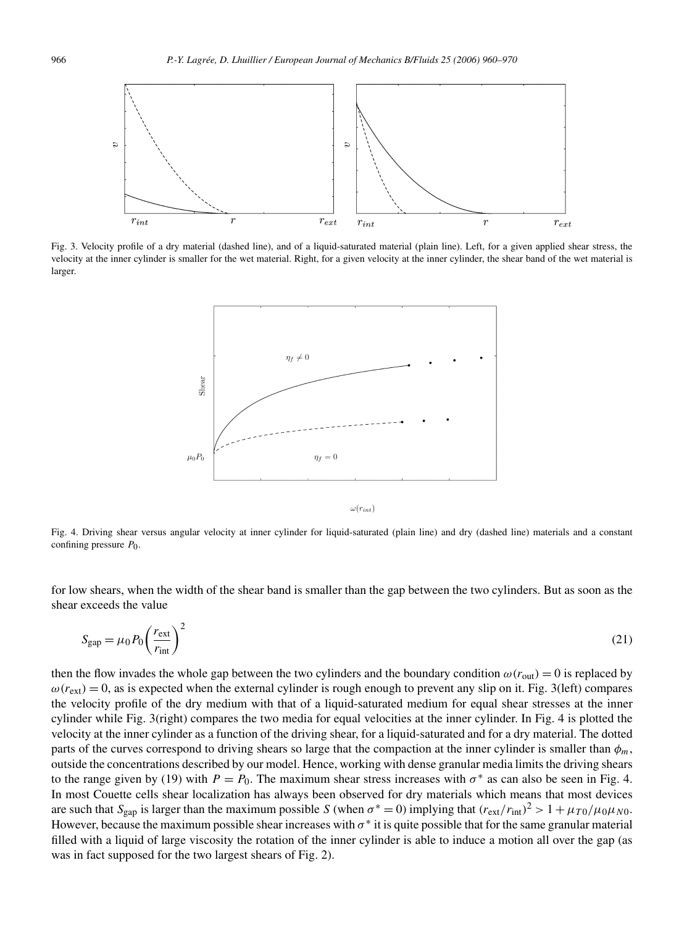

Fig. 3. Velocity profile of a dry material (dashed line), and of a liquid-saturated material (plain line). Left, for a given applied shear stress, the velocity at the inner cylinder is smaller for the wet material. Right, for a given velocity at the inner cylinder, the shear band of the wet material is larger.



 $\omega(r_{int})$ 

Fig. 4. Driving shear versus angular velocity at inner cylinder for liquid-saturated (plain line) and dry (dashed line) materials and a constant confining pressure *P*0.

for low shears, when the width of the shear band is smaller than the gap between the two cylinders. But as soon as the shear exceeds the value

$$
S_{\rm gap} = \mu_0 P_0 \left(\frac{r_{\rm ext}}{r_{\rm int}}\right)^2 \tag{21}
$$

then the flow invades the whole gap between the two cylinders and the boundary condition  $\omega(r_{\text{out}}) = 0$  is replaced by  $\omega(r_{ext}) = 0$ , as is expected when the external cylinder is rough enough to prevent any slip on it. Fig. 3(left) compares the velocity profile of the dry medium with that of a liquid-saturated medium for equal shear stresses at the inner cylinder while Fig. 3(right) compares the two media for equal velocities at the inner cylinder. In Fig. 4 is plotted the velocity at the inner cylinder as a function of the driving shear, for a liquid-saturated and for a dry material. The dotted parts of the curves correspond to driving shears so large that the compaction at the inner cylinder is smaller than  $\phi_m$ , outside the concentrations described by our model. Hence, working with dense granular media limits the driving shears to the range given by (19) with  $P = P_0$ . The maximum shear stress increases with  $\sigma^*$  as can also be seen in Fig. 4. In most Couette cells shear localization has always been observed for dry materials which means that most devices are such that  $S_{\text{gap}}$  is larger than the maximum possible *S* (when  $\sigma^* = 0$ ) implying that  $(r_{\text{ext}}/r_{\text{int}})^2 > 1 + \mu_{T0}/\mu_0\mu_{N0}$ . However, because the maximum possible shear increases with *σ*∗ it is quite possible that for the same granular material filled with a liquid of large viscosity the rotation of the inner cylinder is able to induce a motion all over the gap (as was in fact supposed for the two largest shears of Fig. 2).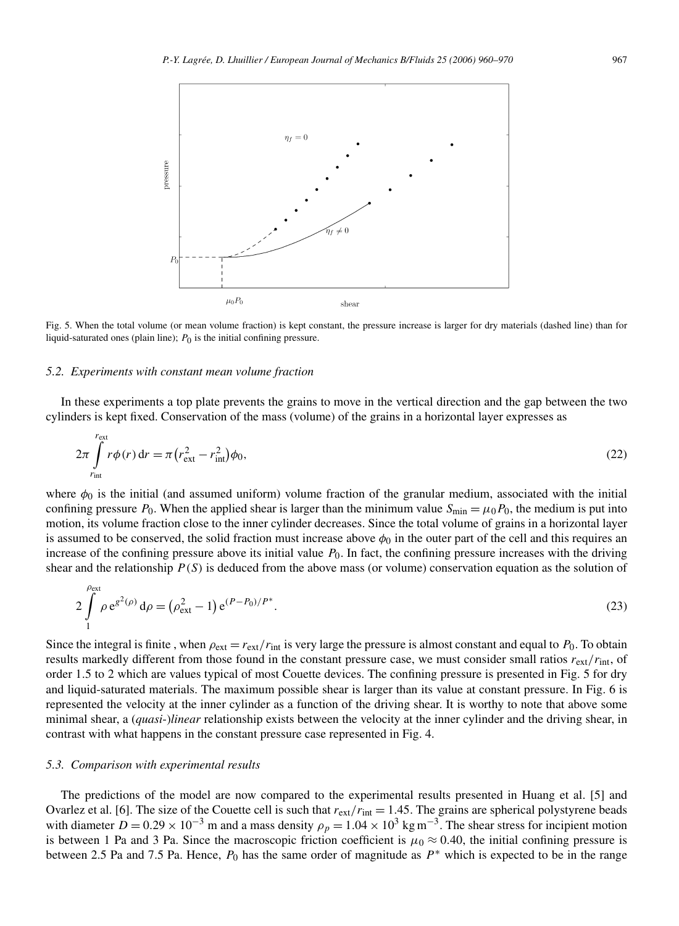

Fig. 5. When the total volume (or mean volume fraction) is kept constant, the pressure increase is larger for dry materials (dashed line) than for liquid-saturated ones (plain line);  $P_0$  is the initial confining pressure.

#### *5.2. Experiments with constant mean volume fraction*

In these experiments a top plate prevents the grains to move in the vertical direction and the gap between the two cylinders is kept fixed. Conservation of the mass (volume) of the grains in a horizontal layer expresses as

$$
2\pi \int_{r_{\rm int}}^{r_{\rm ext}} r\phi(r) dr = \pi \left(r_{\rm ext}^2 - r_{\rm int}^2\right)\phi_0,\tag{22}
$$

where  $\phi_0$  is the initial (and assumed uniform) volume fraction of the granular medium, associated with the initial confining pressure  $P_0$ . When the applied shear is larger than the minimum value  $S_{\text{min}} = \mu_0 P_0$ , the medium is put into motion, its volume fraction close to the inner cylinder decreases. Since the total volume of grains in a horizontal layer is assumed to be conserved, the solid fraction must increase above  $\phi_0$  in the outer part of the cell and this requires an increase of the confining pressure above its initial value  $P_0$ . In fact, the confining pressure increases with the driving shear and the relationship  $P(S)$  is deduced from the above mass (or volume) conservation equation as the solution of

$$
2\int_{1}^{\rho_{\text{ext}}} \rho \, e^{g^2(\rho)} \, d\rho = \left(\rho_{\text{ext}}^2 - 1\right) e^{(P - P_0)/P^*}.
$$
\n(23)

Since the integral is finite, when  $\rho_{ext} = r_{ext}/r_{int}$  is very large the pressure is almost constant and equal to  $P_0$ . To obtain results markedly different from those found in the constant pressure case, we must consider small ratios *r*ext*/r*int, of order 1*.*5 to 2 which are values typical of most Couette devices. The confining pressure is presented in Fig. 5 for dry and liquid-saturated materials. The maximum possible shear is larger than its value at constant pressure. In Fig. 6 is represented the velocity at the inner cylinder as a function of the driving shear. It is worthy to note that above some minimal shear, a (*quasi*-)*linear* relationship exists between the velocity at the inner cylinder and the driving shear, in contrast with what happens in the constant pressure case represented in Fig. 4.

#### *5.3. Comparison with experimental results*

The predictions of the model are now compared to the experimental results presented in Huang et al. [5] and Ovarlez et al. [6]. The size of the Couette cell is such that  $r_{\text{ext}}/r_{\text{int}} = 1.45$ . The grains are spherical polystyrene beads with diameter  $D = 0.29 \times 10^{-3}$  m and a mass density  $\rho_p = 1.04 \times 10^3$  kg m<sup>-3</sup>. The shear stress for incipient motion is between 1 Pa and 3 Pa. Since the macroscopic friction coefficient is  $\mu_0 \approx 0.40$ , the initial confining pressure is between 2.5 Pa and 7.5 Pa. Hence, *P*<sup>0</sup> has the same order of magnitude as *P*<sup>∗</sup> which is expected to be in the range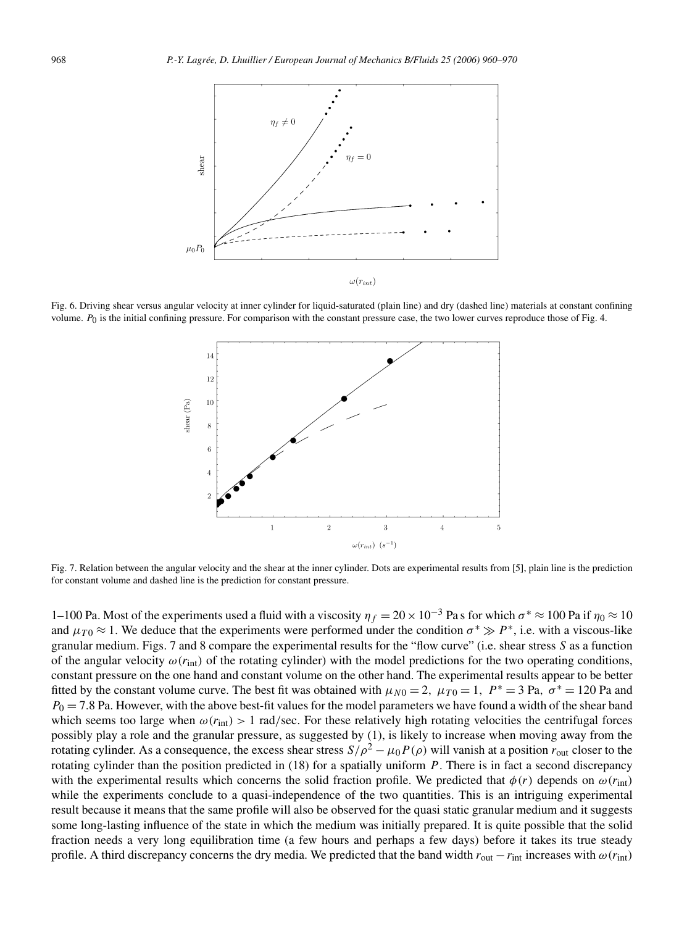

Fig. 6. Driving shear versus angular velocity at inner cylinder for liquid-saturated (plain line) and dry (dashed line) materials at constant confining volume. *P*<sub>0</sub> is the initial confining pressure. For comparison with the constant pressure case, the two lower curves reproduce those of Fig. 4.



Fig. 7. Relation between the angular velocity and the shear at the inner cylinder. Dots are experimental results from [5], plain line is the prediction for constant volume and dashed line is the prediction for constant pressure.

1–100 Pa. Most of the experiments used a fluid with a viscosity  $\eta_f = 20 \times 10^{-3}$  Pas for which  $\sigma^* \approx 100$  Pa if  $\eta_0 \approx 10$ and  $\mu_{T0} \approx 1$ . We deduce that the experiments were performed under the condition  $\sigma^* \gg P^*$ , i.e. with a viscous-like granular medium. Figs. 7 and 8 compare the experimental results for the "flow curve" (i.e. shear stress *S* as a function of the angular velocity  $\omega(r_{\text{int}})$  of the rotating cylinder) with the model predictions for the two operating conditions, constant pressure on the one hand and constant volume on the other hand. The experimental results appear to be better fitted by the constant volume curve. The best fit was obtained with  $\mu_{N0} = 2$ ,  $\mu_{T0} = 1$ ,  $P^* = 3$  Pa,  $\sigma^* = 120$  Pa and  $P_0 = 7.8$  Pa. However, with the above best-fit values for the model parameters we have found a width of the shear band which seems too large when  $\omega(r_{\text{int}}) > 1$  rad/sec. For these relatively high rotating velocities the centrifugal forces possibly play a role and the granular pressure, as suggested by (1), is likely to increase when moving away from the rotating cylinder. As a consequence, the excess shear stress  $S/\rho^2 - \mu_0 P(\rho)$  will vanish at a position  $r_{\text{out}}$  closer to the rotating cylinder than the position predicted in (18) for a spatially uniform *P*. There is in fact a second discrepancy with the experimental results which concerns the solid fraction profile. We predicted that  $\phi(r)$  depends on  $\omega(r_{\text{int}})$ while the experiments conclude to a quasi-independence of the two quantities. This is an intriguing experimental result because it means that the same profile will also be observed for the quasi static granular medium and it suggests some long-lasting influence of the state in which the medium was initially prepared. It is quite possible that the solid fraction needs a very long equilibration time (a few hours and perhaps a few days) before it takes its true steady profile. A third discrepancy concerns the dry media. We predicted that the band width  $r_{\text{out}} - r_{\text{int}}$  increases with  $\omega(r_{\text{int}})$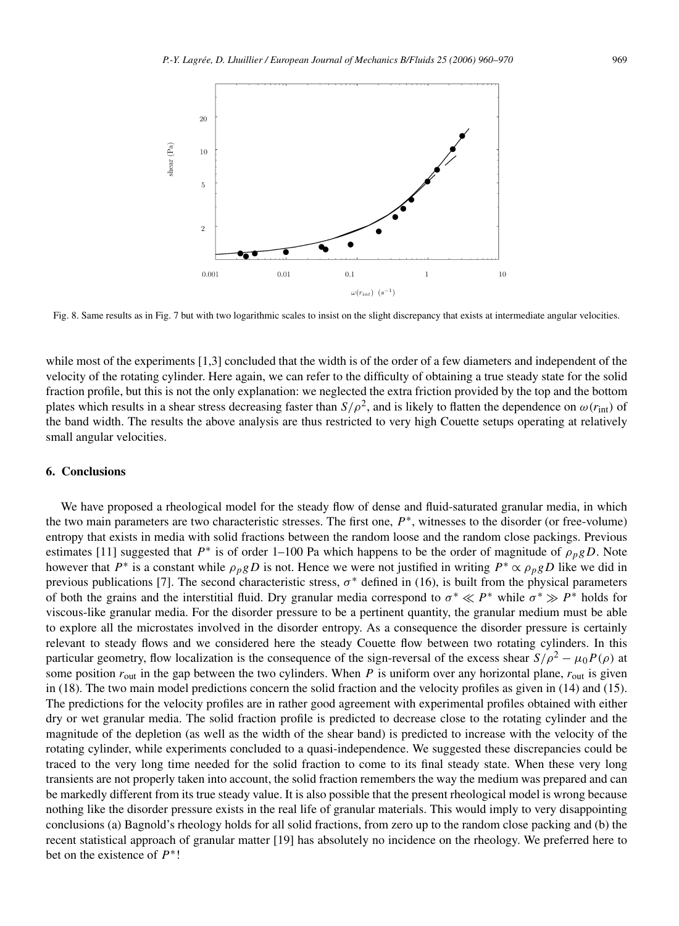

Fig. 8. Same results as in Fig. 7 but with two logarithmic scales to insist on the slight discrepancy that exists at intermediate angular velocities.

while most of the experiments [1,3] concluded that the width is of the order of a few diameters and independent of the velocity of the rotating cylinder. Here again, we can refer to the difficulty of obtaining a true steady state for the solid fraction profile, but this is not the only explanation: we neglected the extra friction provided by the top and the bottom plates which results in a shear stress decreasing faster than  $S/\rho^2$ , and is likely to flatten the dependence on  $\omega(r_{\text{int}})$  of the band width. The results the above analysis are thus restricted to very high Couette setups operating at relatively small angular velocities.

## **6. Conclusions**

We have proposed a rheological model for the steady flow of dense and fluid-saturated granular media, in which the two main parameters are two characteristic stresses. The first one, *P*∗, witnesses to the disorder (or free-volume) entropy that exists in media with solid fractions between the random loose and the random close packings. Previous estimates [11] suggested that  $P^*$  is of order 1–100 Pa which happens to be the order of magnitude of  $\rho_p g D$ . Note however that  $P^*$  is a constant while  $\rho_p g D$  is not. Hence we were not justified in writing  $P^* \propto \rho_p g D$  like we did in previous publications [7]. The second characteristic stress,  $\sigma^*$  defined in (16), is built from the physical parameters of both the grains and the interstitial fluid. Dry granular media correspond to  $\sigma^* \ll P^*$  while  $\sigma^* \gg P^*$  holds for viscous-like granular media. For the disorder pressure to be a pertinent quantity, the granular medium must be able to explore all the microstates involved in the disorder entropy. As a consequence the disorder pressure is certainly relevant to steady flows and we considered here the steady Couette flow between two rotating cylinders. In this particular geometry, flow localization is the consequence of the sign-reversal of the excess shear  $S/\rho^2 - \mu_0 P(\rho)$  at some position  $r_{\text{out}}$  in the gap between the two cylinders. When *P* is uniform over any horizontal plane,  $r_{\text{out}}$  is given in (18). The two main model predictions concern the solid fraction and the velocity profiles as given in (14) and (15). The predictions for the velocity profiles are in rather good agreement with experimental profiles obtained with either dry or wet granular media. The solid fraction profile is predicted to decrease close to the rotating cylinder and the magnitude of the depletion (as well as the width of the shear band) is predicted to increase with the velocity of the rotating cylinder, while experiments concluded to a quasi-independence. We suggested these discrepancies could be traced to the very long time needed for the solid fraction to come to its final steady state. When these very long transients are not properly taken into account, the solid fraction remembers the way the medium was prepared and can be markedly different from its true steady value. It is also possible that the present rheological model is wrong because nothing like the disorder pressure exists in the real life of granular materials. This would imply to very disappointing conclusions (a) Bagnold's rheology holds for all solid fractions, from zero up to the random close packing and (b) the recent statistical approach of granular matter [19] has absolutely no incidence on the rheology. We preferred here to bet on the existence of *P*∗!